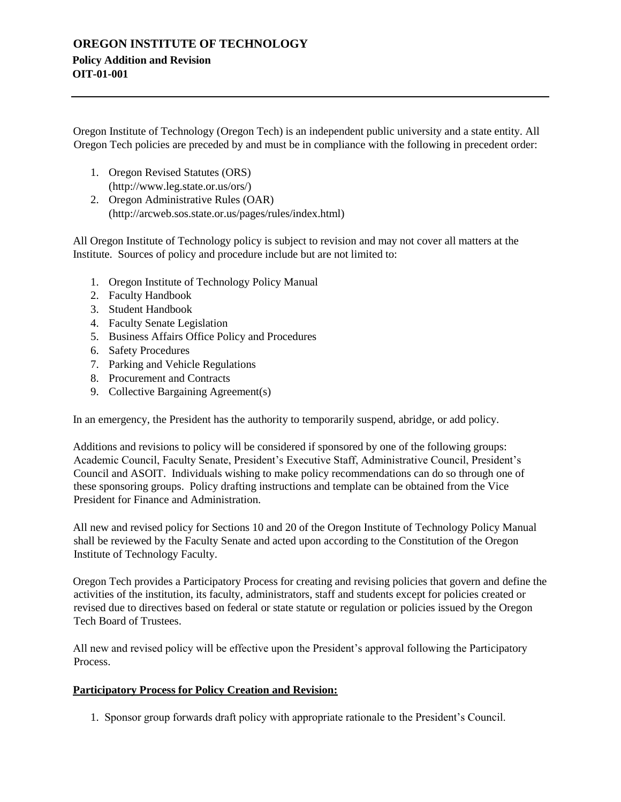## **OREGON INSTITUTE OF TECHNOLOGY Policy Addition and Revision OIT-01-001**

Oregon Institute of Technology (Oregon Tech) is an independent public university and a state entity. All Oregon Tech policies are preceded by and must be in compliance with the following in precedent order:

- 1. Oregon Revised Statutes (ORS) [\(http://www.leg.state.or.us/ors/\)](http://www.leg.state.or.us/ors/)
- 2. Oregon Administrative Rules (OAR) [\(http://arcweb.sos.state.or.us/pages/rules/index.html\)](http://arcweb.sos.state.or.us/pages/rules/index.html)

All Oregon Institute of Technology policy is subject to revision and may not cover all matters at the Institute. Sources of policy and procedure include but are not limited to:

- 1. Oregon Institute of Technology Policy Manual
- 2. Faculty Handbook
- 3. Student Handbook
- 4. Faculty Senate Legislation
- 5. Business Affairs Office Policy and Procedures
- 6. Safety Procedures
- 7. Parking and Vehicle Regulations
- 8. Procurement and Contracts
- 9. Collective Bargaining Agreement(s)

In an emergency, the President has the authority to temporarily suspend, abridge, or add policy.

Additions and revisions to policy will be considered if sponsored by one of the following groups: Academic Council, Faculty Senate, President's Executive Staff, Administrative Council, President's Council and ASOIT. Individuals wishing to make policy recommendations can do so through one of these sponsoring groups. Policy drafting instructions and template can be obtained from the Vice President for Finance and Administration.

All new and revised policy for Sections 10 and 20 of the Oregon Institute of Technology Policy Manual shall be reviewed by the Faculty Senate and acted upon according to the Constitution of the Oregon Institute of Technology Faculty.

Oregon Tech provides a Participatory Process for creating and revising policies that govern and define the activities of the institution, its faculty, administrators, staff and students except for policies created or revised due to directives based on federal or state statute or regulation or policies issued by the Oregon Tech Board of Trustees.

All new and revised policy will be effective upon the President's approval following the Participatory Process.

## **Participatory Process for Policy Creation and Revision:**

1. Sponsor group forwards draft policy with appropriate rationale to the President's Council.